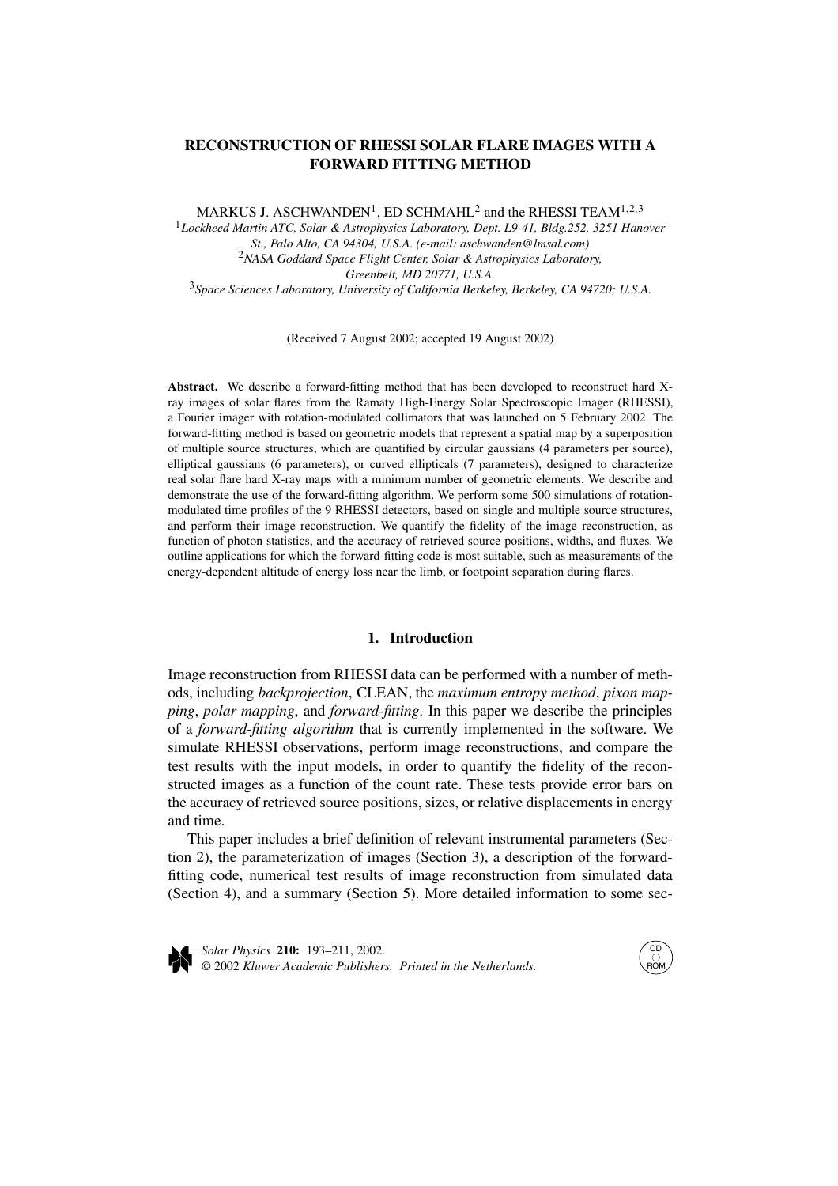# **RECONSTRUCTION OF RHESSI SOLAR FLARE IMAGES WITH A FORWARD FITTING METHOD**

MARKUS J. ASCHWANDEN<sup>1</sup>, ED SCHMAHL<sup>2</sup> and the RHESSI TEAM<sup>1,2,3</sup>

<sup>1</sup>*Lockheed Martin ATC, Solar & Astrophysics Laboratory, Dept. L9-41, Bldg.252, 3251 Hanover St., Palo Alto, CA 94304, U.S.A. (e-mail: aschwanden@lmsal.com)* <sup>2</sup>*NASA Goddard Space Flight Center, Solar & Astrophysics Laboratory, Greenbelt, MD 20771, U.S.A.* <sup>3</sup>*Space Sciences Laboratory, University of California Berkeley, Berkeley, CA 94720; U.S.A.*

(Received 7 August 2002; accepted 19 August 2002)

**Abstract.** We describe a forward-fitting method that has been developed to reconstruct hard Xray images of solar flares from the Ramaty High-Energy Solar Spectroscopic Imager (RHESSI), a Fourier imager with rotation-modulated collimators that was launched on 5 February 2002. The forward-fitting method is based on geometric models that represent a spatial map by a superposition of multiple source structures, which are quantified by circular gaussians (4 parameters per source), elliptical gaussians (6 parameters), or curved ellipticals (7 parameters), designed to characterize real solar flare hard X-ray maps with a minimum number of geometric elements. We describe and demonstrate the use of the forward-fitting algorithm. We perform some 500 simulations of rotationmodulated time profiles of the 9 RHESSI detectors, based on single and multiple source structures, and perform their image reconstruction. We quantify the fidelity of the image reconstruction, as function of photon statistics, and the accuracy of retrieved source positions, widths, and fluxes. We outline applications for which the forward-fitting code is most suitable, such as measurements of the energy-dependent altitude of energy loss near the limb, or footpoint separation during flares.

## **1. Introduction**

Image reconstruction from RHESSI data can be performed with a number of methods, including *backprojection*, CLEAN, the *maximum entropy method*, *pixon mapping*, *polar mapping*, and *forward-fitting*. In this paper we describe the principles of a *forward-fitting algorithm* that is currently implemented in the software. We simulate RHESSI observations, perform image reconstructions, and compare the test results with the input models, in order to quantify the fidelity of the reconstructed images as a function of the count rate. These tests provide error bars on the accuracy of retrieved source positions, sizes, or relative displacements in energy and time.

This paper includes a brief definition of relevant instrumental parameters (Section 2), the parameterization of images (Section 3), a description of the forwardfitting code, numerical test results of image reconstruction from simulated data (Section 4), and a summary (Section 5). More detailed information to some sec-



*Solar Physics* **210:** 193–211, 2002. © 2002 *Kluwer Academic Publishers. Printed in the Netherlands.*

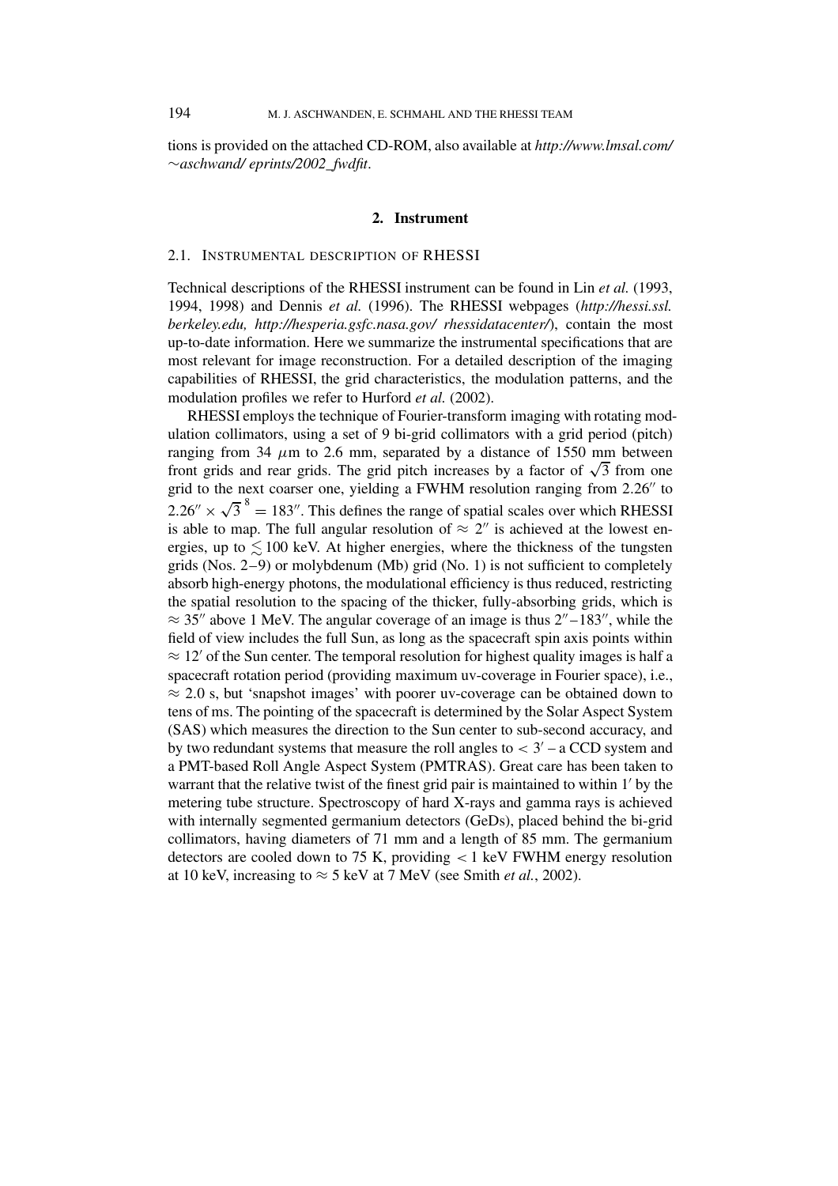tions is provided on the attached CD-ROM, also available at *http://www.lmsal.com/* ∼*aschwand/ eprints/2002\_fwdfit*.

#### **2. Instrument**

### 2.1. INSTRUMENTAL DESCRIPTION OF RHESSI

Technical descriptions of the RHESSI instrument can be found in Lin *et al.* (1993, 1994, 1998) and Dennis *et al.* (1996). The RHESSI webpages (*http://hessi.ssl. berkeley.edu, http://hesperia.gsfc.nasa.gov/ rhessidatacenter/*), contain the most up-to-date information. Here we summarize the instrumental specifications that are most relevant for image reconstruction. For a detailed description of the imaging capabilities of RHESSI, the grid characteristics, the modulation patterns, and the modulation profiles we refer to Hurford *et al.* (2002).

RHESSI employs the technique of Fourier-transform imaging with rotating modulation collimators, using a set of 9 bi-grid collimators with a grid period (pitch) ranging from 34  $\mu$ m to 2.6 mm, separated by a distance of 1550 mm between front grids and rear grids. The grid pitch increases by a factor of  $\sqrt{3}$  from one grid to the next coarser one, yielding a FWHM resolution ranging from 2.26" to  $2.26'' \times \sqrt{3}^8 = 183''$ . This defines the range of spatial scales over which RHESSI is able to map. The full angular resolution of  $\approx 2''$  is achieved at the lowest energies, up to  $\leq 100$  keV. At higher energies, where the thickness of the tungsten grids (Nos.  $2-9$ ) or molybdenum (Mb) grid (No. 1) is not sufficient to completely absorb high-energy photons, the modulational efficiency is thus reduced, restricting the spatial resolution to the spacing of the thicker, fully-absorbing grids, which is  $\approx$  35" above 1 MeV. The angular coverage of an image is thus 2"–183", while the field of view includes the full Sun, as long as the spacecraft spin axis points within  $\approx 12'$  of the Sun center. The temporal resolution for highest quality images is half a spacecraft rotation period (providing maximum uv-coverage in Fourier space), i.e.,  $\approx$  2.0 s, but 'snapshot images' with poorer uv-coverage can be obtained down to tens of ms. The pointing of the spacecraft is determined by the Solar Aspect System (SAS) which measures the direction to the Sun center to sub-second accuracy, and by two redundant systems that measure the roll angles to  $<$  3' – a CCD system and a PMT-based Roll Angle Aspect System (PMTRAS). Great care has been taken to warrant that the relative twist of the finest grid pair is maintained to within  $1'$  by the metering tube structure. Spectroscopy of hard X-rays and gamma rays is achieved with internally segmented germanium detectors (GeDs), placed behind the bi-grid collimators, having diameters of 71 mm and a length of 85 mm. The germanium detectors are cooled down to 75 K, providing *<* 1 keV FWHM energy resolution at 10 keV, increasing to  $\approx$  5 keV at 7 MeV (see Smith *et al.*, 2002).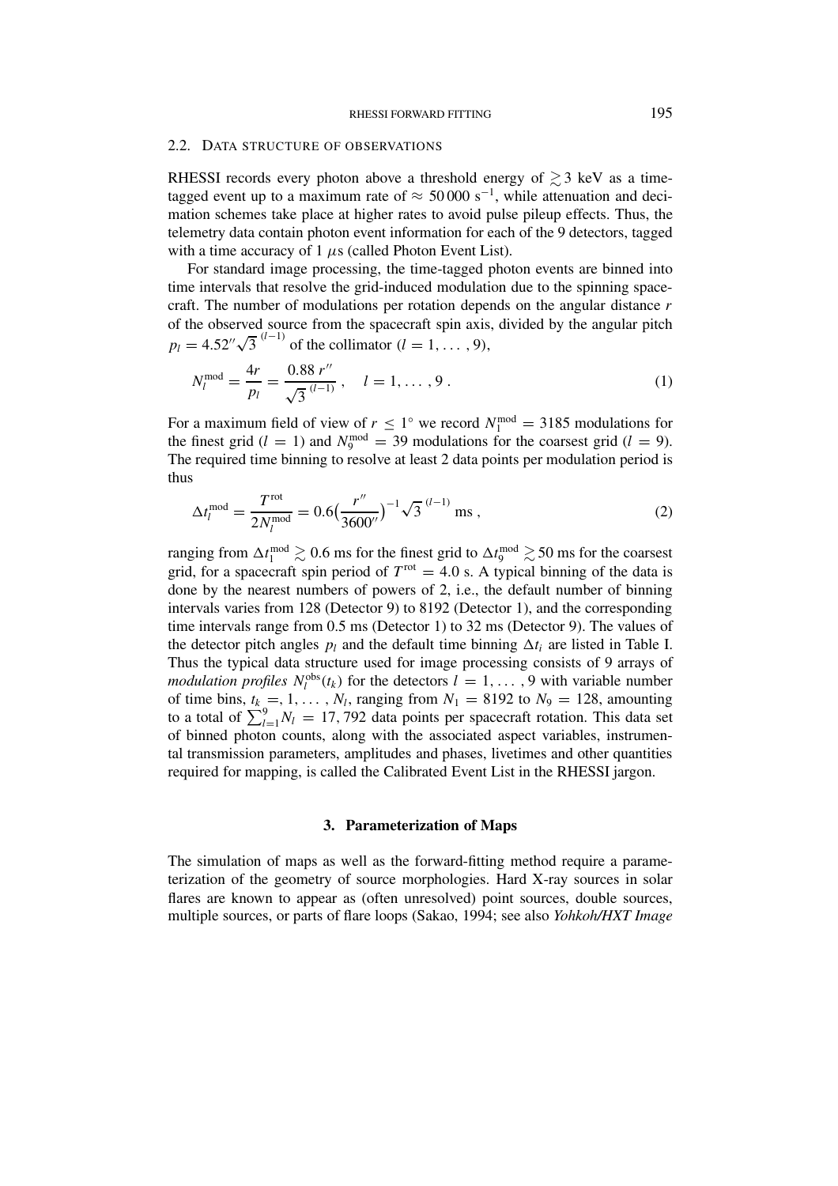#### 2.2. DATA STRUCTURE OF OBSERVATIONS

RHESSI records every photon above a threshold energy of  $\gtrsim$  3 keV as a timetagged event up to a maximum rate of  $\approx 50000 \text{ s}^{-1}$ , while attenuation and decimation schemes take place at higher rates to avoid pulse pileup effects. Thus, the telemetry data contain photon event information for each of the 9 detectors, tagged with a time accuracy of 1 *µ*s (called Photon Event List).

For standard image processing, the time-tagged photon events are binned into time intervals that resolve the grid-induced modulation due to the spinning spacecraft. The number of modulations per rotation depends on the angular distance *r* of the observed source from the spacecraft spin axis, divided by the angular pitch  $p_l = 4.52'' \sqrt{3}^{(l-1)}$  of the collimator  $(l = 1, ..., 9)$ ,

$$
N_l^{\text{mod}} = \frac{4r}{p_l} = \frac{0.88 \, r''}{\sqrt{3}^{(l-1)}} \, , \quad l = 1, \dots, 9 \, . \tag{1}
$$

For a maximum field of view of  $r \leq 1^{\circ}$  we record  $N_1^{\text{mod}} = 3185$  modulations for the finest grid ( $l = 1$ ) and  $N_9^{\text{mod}} = 39$  modulations for the coarsest grid ( $l = 9$ ). The required time binning to resolve at least 2 data points per modulation period is thus

$$
\Delta t_l^{\text{mod}} = \frac{T^{\text{rot}}}{2N_l^{\text{mod}}} = 0.6 \left(\frac{r''}{3600''}\right)^{-1} \sqrt{3} \, \text{ms} \,,\tag{2}
$$

ranging from  $\Delta t_1^{\text{mod}} \gtrsim 0.6$  ms for the finest grid to  $\Delta t_9^{\text{mod}} \gtrsim 50$  ms for the coarsest grid, for a spacecraft spin period of  $T^{rot} = 4.0$  s. A typical binning of the data is done by the nearest numbers of powers of 2, i.e., the default number of binning intervals varies from 128 (Detector 9) to 8192 (Detector 1), and the corresponding time intervals range from 0.5 ms (Detector 1) to 32 ms (Detector 9). The values of the detector pitch angles  $p_l$  and the default time binning  $\Delta t_i$  are listed in Table I. Thus the typical data structure used for image processing consists of 9 arrays of *modulation profiles*  $N_l^{obs}(t_k)$  for the detectors  $l = 1, \ldots, 9$  with variable number of time bins,  $t_k = 1, \ldots, N_l$ , ranging from  $N_1 = 8192$  to  $N_9 = 128$ , amounting to a total of  $\sum_{l=1}^{9} N_l = 17,792$  data points per spacecraft rotation. This data set of binned photon counts, along with the associated aspect variables, instrumental transmission parameters, amplitudes and phases, livetimes and other quantities required for mapping, is called the Calibrated Event List in the RHESSI jargon.

#### **3. Parameterization of Maps**

The simulation of maps as well as the forward-fitting method require a parameterization of the geometry of source morphologies. Hard X-ray sources in solar flares are known to appear as (often unresolved) point sources, double sources, multiple sources, or parts of flare loops (Sakao, 1994; see also *Yohkoh/HXT Image*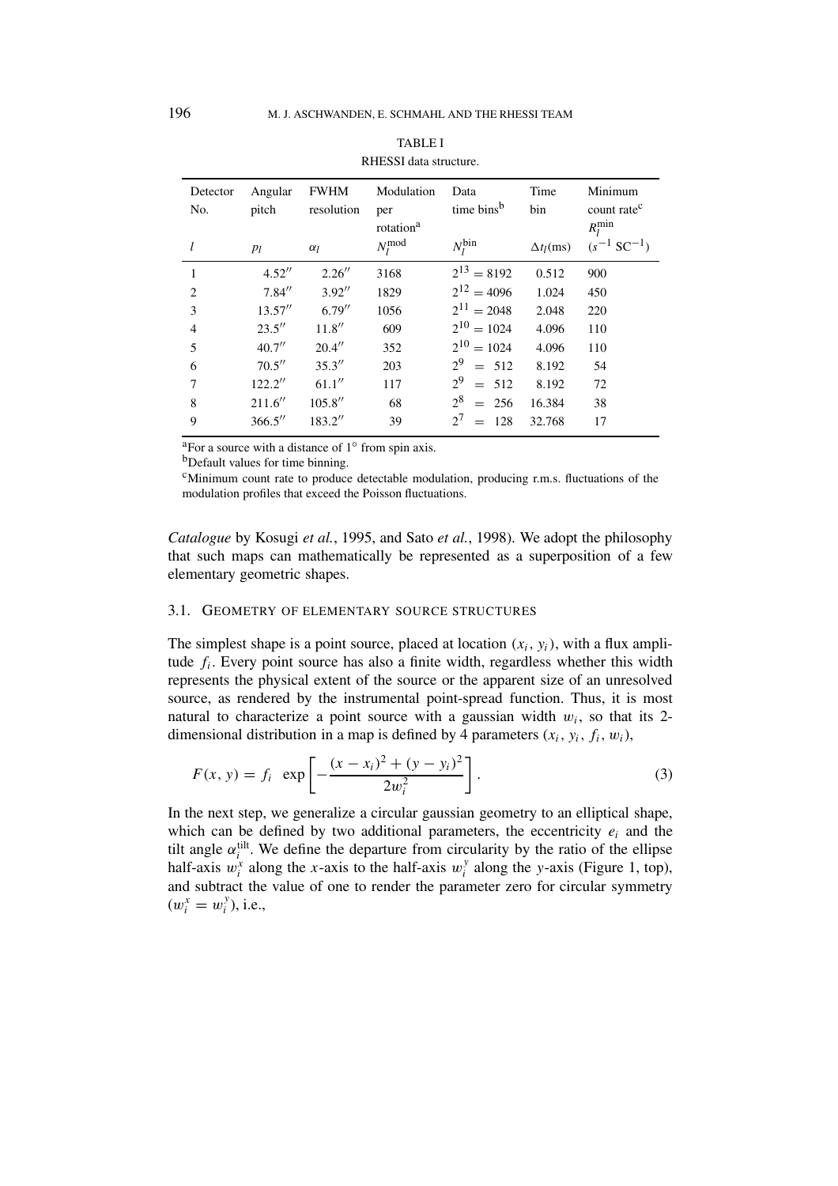| Detector       | Angular | <b>FWHM</b> | Modulation            | Data                      | Time              | Minimum                 |
|----------------|---------|-------------|-----------------------|---------------------------|-------------------|-------------------------|
| No.            | pitch   | resolution  | per                   | time bins <sup>b</sup>    | bin               | count rate <sup>c</sup> |
|                |         |             | rotation <sup>a</sup> |                           |                   | $R_l^{\min}$            |
| l              | $p_l$   | $\alpha_l$  | $N_I^{\text{mod}}$    | $N_l^{\text{bin}}$        | $\Delta t_l$ (ms) | $(s^{-1} SC^{-1})$      |
| 1              | 4.52''  | 2.26''      | 3168                  | $2^{13} = 8192$           | 0.512             | 900                     |
| $\overline{2}$ | 7.84''  | 3.92''      | 1829                  | $2^{12} = 4096$           | 1.024             | 450                     |
| 3              | 13.57'' | 6.79''      | 1056                  | $2^{11} = 2048$           | 2.048             | 220                     |
| $\overline{4}$ | 23.5''  | 11.8''      | 609                   | $2^{10} = 1024$           | 4.096             | 110                     |
| 5              | 40.7''  | 20.4''      | 352                   | $2^{10} = 1024$           | 4.096             | 110                     |
| 6              | 70.5''  | 35.3''      | 203                   | 2 <sup>9</sup><br>$= 512$ | 8.192             | 54                      |
| 7              | 122.2'' | 61.1''      | 117                   | 2 <sup>9</sup><br>$= 512$ | 8.192             | 72                      |
| 8              | 211.6'' | 105.8''     | 68                    | $2^8$<br>$= 256$          | 16.384            | 38                      |
| 9              | 366.5'' | 183.2"      | 39                    | $2^{7}$<br>128            | 32.768            | 17                      |
|                |         |             |                       |                           |                   |                         |

| <b>TABLE I</b>         |  |  |  |  |  |
|------------------------|--|--|--|--|--|
| RHESSI data structure. |  |  |  |  |  |

aFor a source with a distance of 1◦ from spin axis.

bDefault values for time binning.

 $\epsilon$ Minimum count rate to produce detectable modulation, producing r.m.s. fluctuations of the modulation profiles that exceed the Poisson fluctuations.

*Catalogue* by Kosugi *et al.*, 1995, and Sato *et al.*, 1998). We adopt the philosophy that such maps can mathematically be represented as a superposition of a few elementary geometric shapes.

### 3.1. GEOMETRY OF ELEMENTARY SOURCE STRUCTURES

The simplest shape is a point source, placed at location  $(x_i, y_i)$ , with a flux amplitude *fi*. Every point source has also a finite width, regardless whether this width represents the physical extent of the source or the apparent size of an unresolved source, as rendered by the instrumental point-spread function. Thus, it is most natural to characterize a point source with a gaussian width  $w_i$ , so that its 2dimensional distribution in a map is defined by 4 parameters  $(x_i, y_i, f_i, w_i)$ ,

$$
F(x, y) = f_i \exp\left[-\frac{(x - x_i)^2 + (y - y_i)^2}{2w_i^2}\right].
$$
 (3)

In the next step, we generalize a circular gaussian geometry to an elliptical shape, which can be defined by two additional parameters, the eccentricity  $e_i$  and the tilt angle  $\alpha_i^{\text{tilt}}$ . We define the departure from circularity by the ratio of the ellipse half-axis  $w_i^x$  along the *x*-axis to the half-axis  $w_i^y$  along the *y*-axis (Figure 1, top), and subtract the value of one to render the parameter zero for circular symmetry  $(w_i^x = w_i^y)$ , i.e.,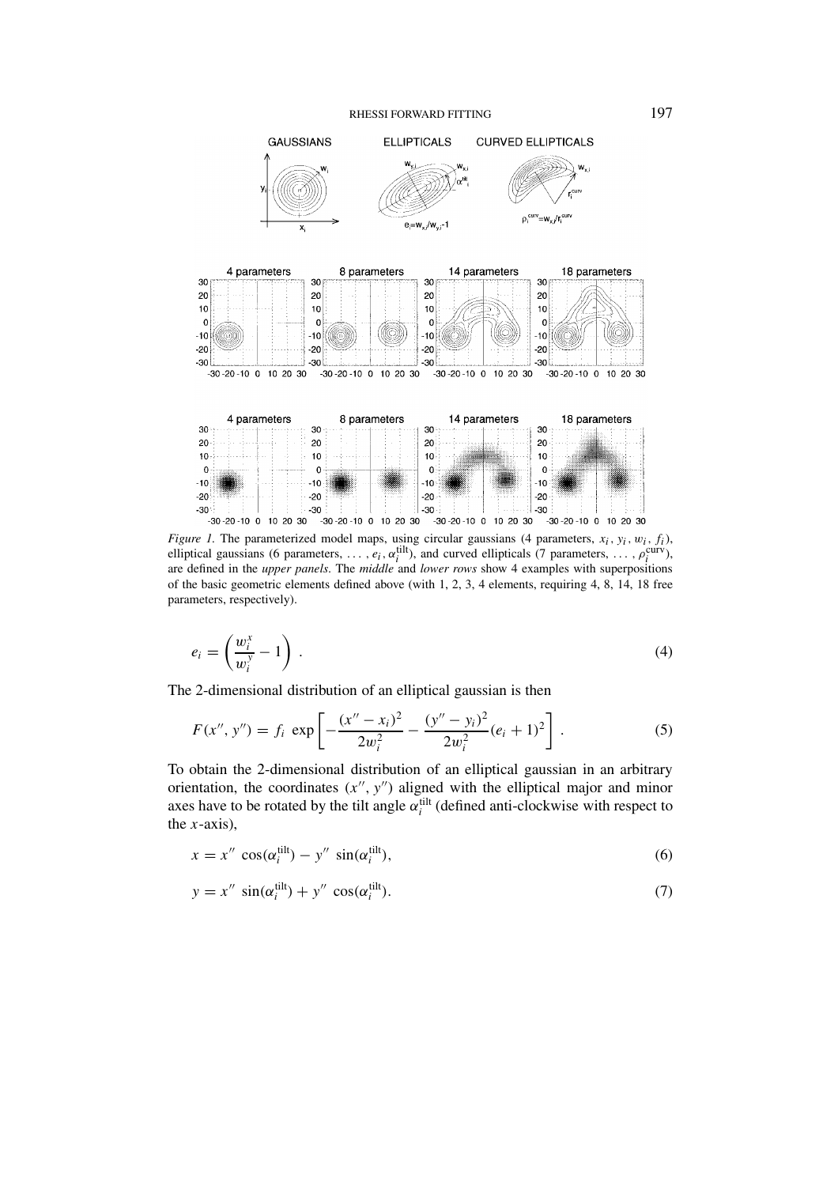

*Figure 1.* The parameterized model maps, using circular gaussians (4 parameters,  $x_i$ ,  $y_i$ ,  $w_i$ ,  $f_i$ ), elliptical gaussians (6 parameters, ...,  $e_i$ ,  $\alpha_i^{\text{tilt}}$ ), and curved ellipticals (7 parameters, ...,  $\rho_i^{\text{curv}}$ ), are defined in the *upper panels*. The *middle* and *lower rows* show 4 examples with superpositions of the basic geometric elements defined above (with 1, 2, 3, 4 elements, requiring 4, 8, 14, 18 free parameters, respectively).

$$
e_i = \left(\frac{w_i^x}{w_i^y} - 1\right) \tag{4}
$$

The 2-dimensional distribution of an elliptical gaussian is then

$$
F(x'', y'') = f_i \exp\left[-\frac{(x'' - x_i)^2}{2w_i^2} - \frac{(y'' - y_i)^2}{2w_i^2}(e_i + 1)^2\right].
$$
 (5)

To obtain the 2-dimensional distribution of an elliptical gaussian in an arbitrary orientation, the coordinates  $(x'', y'')$  aligned with the elliptical major and minor axes have to be rotated by the tilt angle  $\alpha_i^{\text{tilt}}$  (defined anti-clockwise with respect to the *x*-axis),

$$
x = x'' \cos(\alpha_i^{\text{tilt}}) - y'' \sin(\alpha_i^{\text{tilt}}), \tag{6}
$$

$$
y = x'' \sin(\alpha_i^{\text{tilt}}) + y'' \cos(\alpha_i^{\text{tilt}}). \tag{7}
$$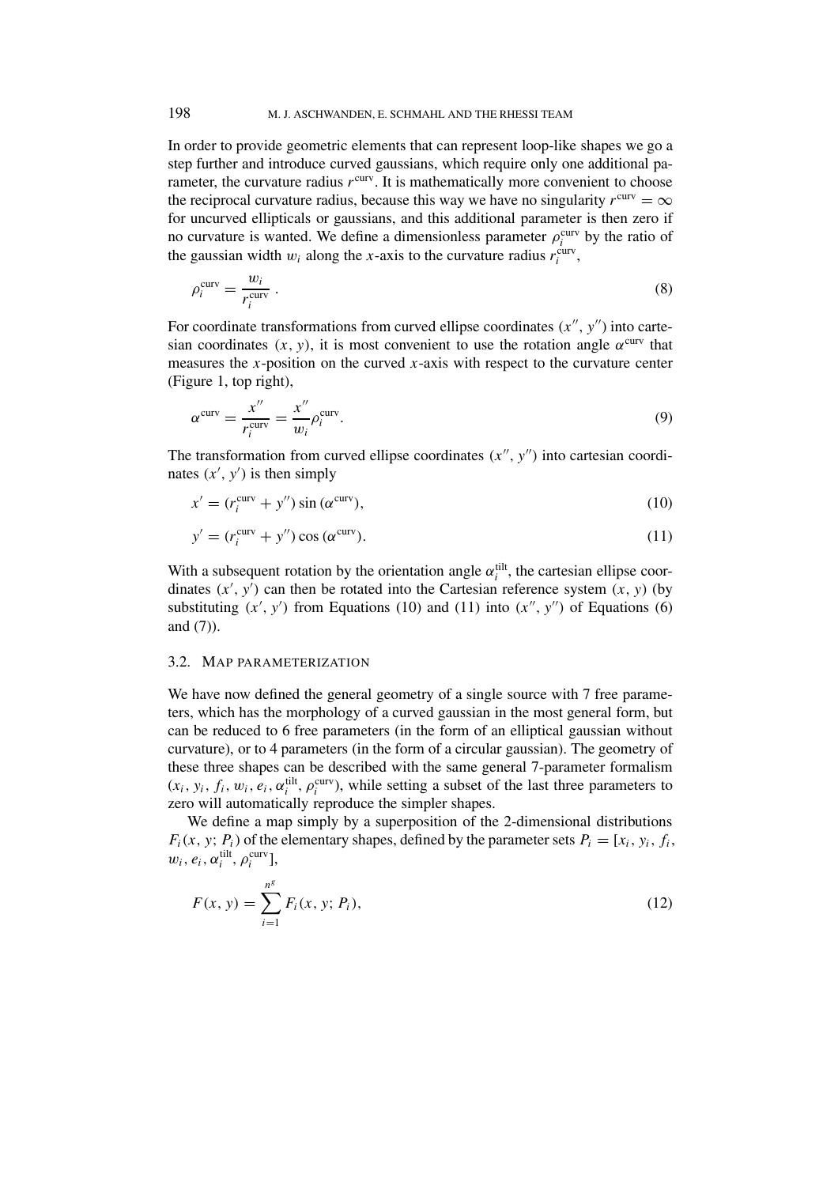In order to provide geometric elements that can represent loop-like shapes we go a step further and introduce curved gaussians, which require only one additional parameter, the curvature radius  $r<sup>curv</sup>$ . It is mathematically more convenient to choose the reciprocal curvature radius, because this way we have no singularity  $r^{\text{curv}} = \infty$ for uncurved ellipticals or gaussians, and this additional parameter is then zero if no curvature is wanted. We define a dimensionless parameter  $\rho_i^{\text{curv}}$  by the ratio of the gaussian width  $w_i$  along the *x*-axis to the curvature radius  $r_i^{\text{curv}}$ ,

$$
\rho_i^{\text{curv}} = \frac{w_i}{r_i^{\text{curv}}} \,. \tag{8}
$$

For coordinate transformations from curved ellipse coordinates  $(x'', y'')$  into cartesian coordinates  $(x, y)$ , it is most convenient to use the rotation angle  $\alpha^{\text{curv}}$  that measures the *x*-position on the curved *x*-axis with respect to the curvature center (Figure 1, top right),

$$
\alpha^{\text{curv}} = \frac{x''}{r_i^{\text{curv}}} = \frac{x''}{w_i} \rho_i^{\text{curv}}.
$$
\n(9)

The transformation from curved ellipse coordinates  $(x'', y'')$  into cartesian coordinates  $(x', y')$  is then simply

$$
x' = (r_i^{\text{curv}} + y'')\sin(\alpha^{\text{curv}}),\tag{10}
$$

$$
y' = (r_i^{\text{curv}} + y'') \cos(\alpha^{\text{curv}}). \tag{11}
$$

With a subsequent rotation by the orientation angle  $\alpha_i^{\text{tilt}}$ , the cartesian ellipse coordinates  $(x', y')$  can then be rotated into the Cartesian reference system  $(x, y)$  (by substituting  $(x', y')$  from Equations (10) and (11) into  $(x'', y'')$  of Equations (6) and (7)).

## 3.2. MAP PARAMETERIZATION

We have now defined the general geometry of a single source with 7 free parameters, which has the morphology of a curved gaussian in the most general form, but can be reduced to 6 free parameters (in the form of an elliptical gaussian without curvature), or to 4 parameters (in the form of a circular gaussian). The geometry of these three shapes can be described with the same general 7-parameter formalism  $(x_i, y_i, f_i, w_i, e_i, \alpha_i^{\text{tilt}}, \rho_i^{\text{curv}})$ , while setting a subset of the last three parameters to zero will automatically reproduce the simpler shapes.

We define a map simply by a superposition of the 2-dimensional distributions  $F_i(x, y; P_i)$  of the elementary shapes, defined by the parameter sets  $P_i = [x_i, y_i, f_i,$  $w_i, e_i, \alpha_i^{\text{tilt}}, \rho_i^{\text{curv}}$ ],

$$
F(x, y) = \sum_{i=1}^{n^g} F_i(x, y; P_i),
$$
\n(12)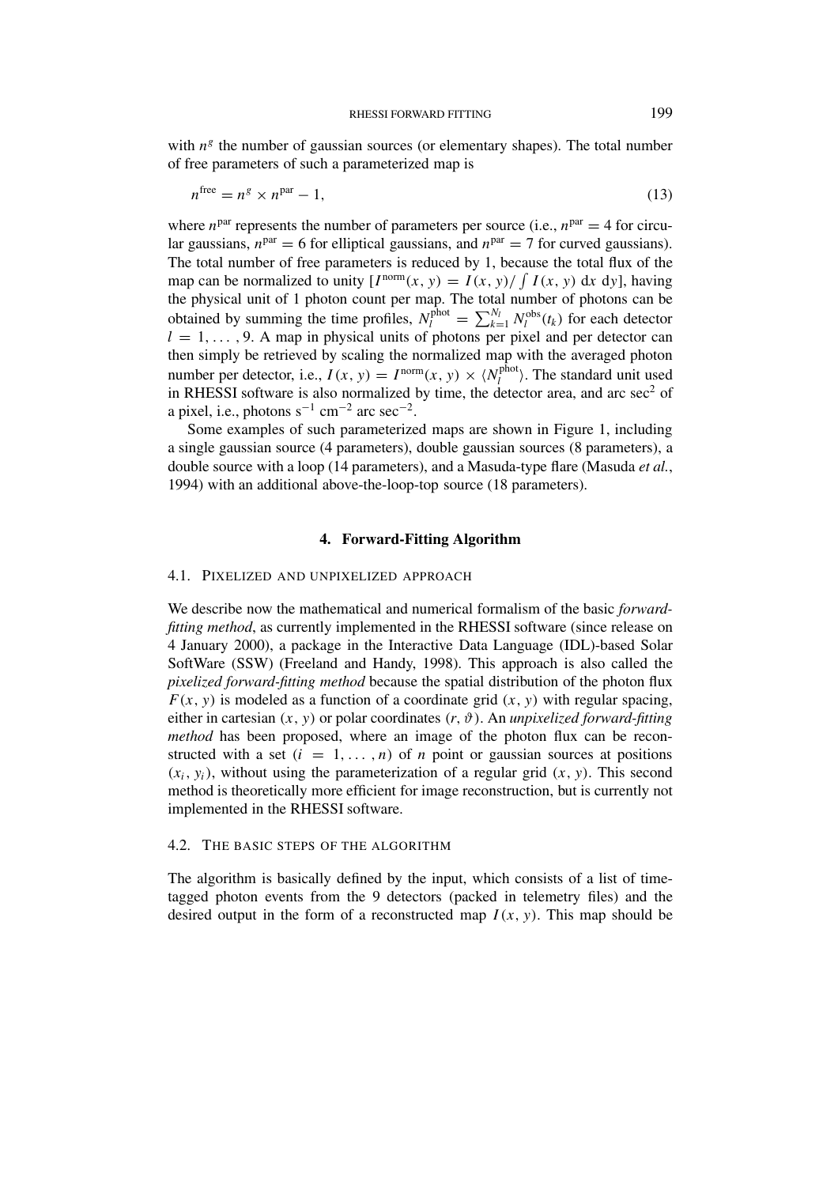with  $n<sup>g</sup>$  the number of gaussian sources (or elementary shapes). The total number of free parameters of such a parameterized map is

$$
n^{\text{free}} = n^g \times n^{\text{par}} - 1,\tag{13}
$$

where  $n<sup>par</sup>$  represents the number of parameters per source (i.e.,  $n<sup>par</sup> = 4$  for circular gaussians,  $n<sup>par</sup> = 6$  for elliptical gaussians, and  $n<sup>par</sup> = 7$  for curved gaussians). The total number of free parameters is reduced by 1, because the total flux of the map can be normalized to unity  $[I^{\text{norm}}(x, y) = I(x, y) / \int I(x, y) dx dy]$ , having the physical unit of 1 photon count per map. The total number of photons can be obtained by summing the time profiles,  $N_l^{\text{phot}} = \sum_{k=1}^{N_l} N_l^{\text{obs}}(t_k)$  for each detector  $l = 1, \ldots, 9$ . A map in physical units of photons per pixel and per detector can then simply be retrieved by scaling the normalized map with the averaged photon number per detector, i.e.,  $I(x, y) = I^{\text{norm}}(x, y) \times \langle N_l^{\text{phot}} \rangle$ . The standard unit used in RHESSI software is also normalized by time, the detector area, and arc  $\sec^2$  of a pixel, i.e., photons  $s^{-1}$  cm<sup>-2</sup> arc sec<sup>-2</sup>.

Some examples of such parameterized maps are shown in Figure 1, including a single gaussian source (4 parameters), double gaussian sources (8 parameters), a double source with a loop (14 parameters), and a Masuda-type flare (Masuda *et al.*, 1994) with an additional above-the-loop-top source (18 parameters).

#### **4. Forward-Fitting Algorithm**

#### 4.1. PIXELIZED AND UNPIXELIZED APPROACH

We describe now the mathematical and numerical formalism of the basic *forwardfitting method*, as currently implemented in the RHESSI software (since release on 4 January 2000), a package in the Interactive Data Language (IDL)-based Solar SoftWare (SSW) (Freeland and Handy, 1998). This approach is also called the *pixelized forward-fitting method* because the spatial distribution of the photon flux  $F(x, y)$  is modeled as a function of a coordinate grid  $(x, y)$  with regular spacing, either in cartesian  $(x, y)$  or polar coordinates  $(r, \vartheta)$ . An *unpixelized forward-fitting method* has been proposed, where an image of the photon flux can be reconstructed with a set  $(i = 1, \ldots, n)$  of *n* point or gaussian sources at positions  $(x_i, y_i)$ , without using the parameterization of a regular grid  $(x, y)$ . This second method is theoretically more efficient for image reconstruction, but is currently not implemented in the RHESSI software.

### 4.2. THE BASIC STEPS OF THE ALGORITHM

The algorithm is basically defined by the input, which consists of a list of timetagged photon events from the 9 detectors (packed in telemetry files) and the desired output in the form of a reconstructed map  $I(x, y)$ . This map should be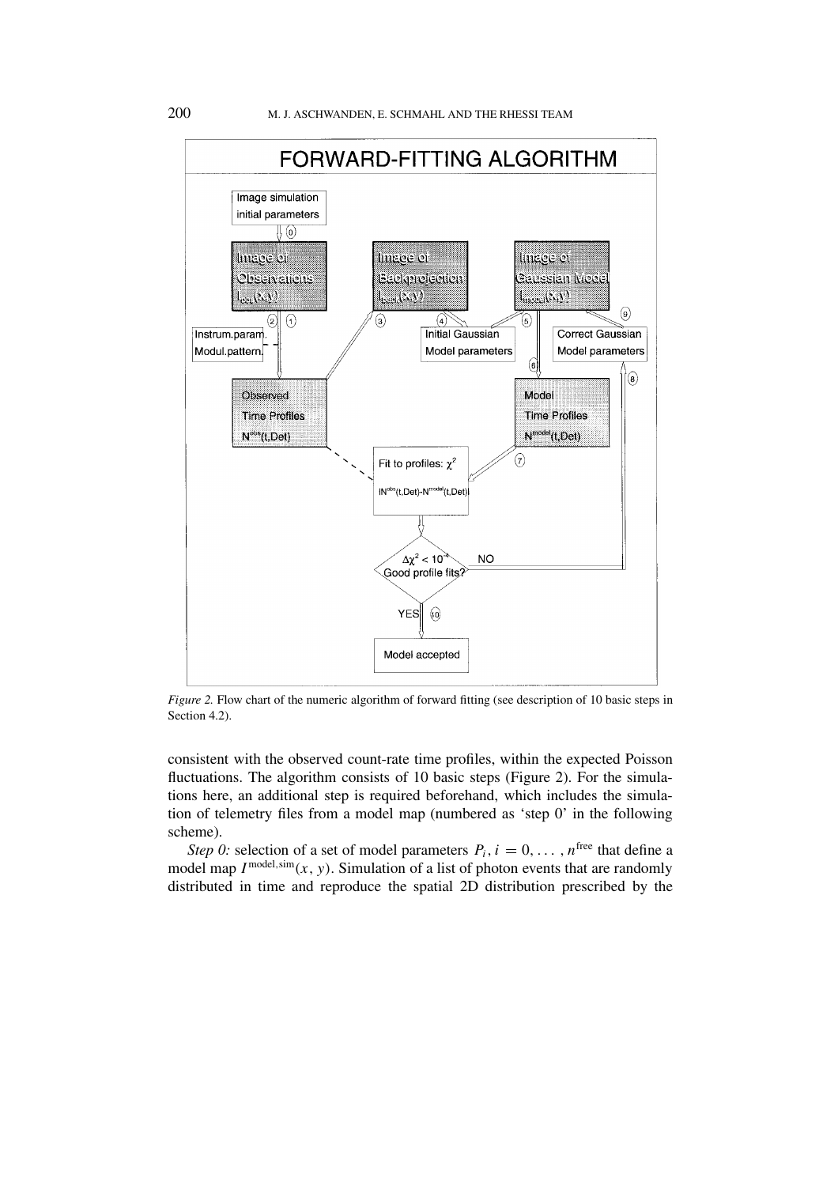

*Figure 2.* Flow chart of the numeric algorithm of forward fitting (see description of 10 basic steps in Section 4.2).

consistent with the observed count-rate time profiles, within the expected Poisson fluctuations. The algorithm consists of 10 basic steps (Figure 2). For the simulations here, an additional step is required beforehand, which includes the simulation of telemetry files from a model map (numbered as 'step 0' in the following scheme).

*Step 0:* selection of a set of model parameters  $P_i$ ,  $i = 0, \ldots, n^{\text{free}}$  that define a model map  $I^{\text{model,sim}}(x, y)$ . Simulation of a list of photon events that are randomly distributed in time and reproduce the spatial 2D distribution prescribed by the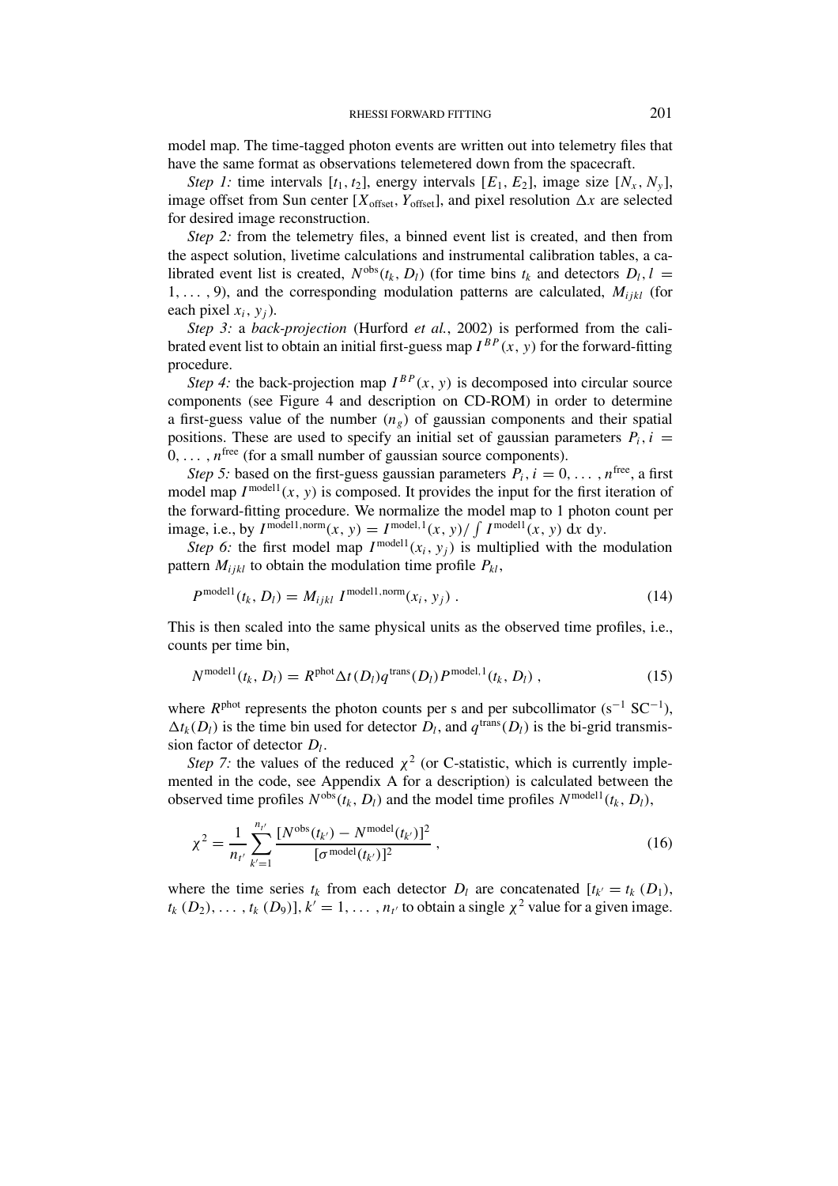model map. The time-tagged photon events are written out into telemetry files that have the same format as observations telemetered down from the spacecraft.

*Step 1:* time intervals  $[t_1, t_2]$ , energy intervals  $[E_1, E_2]$ , image size  $[N_x, N_y]$ , image offset from Sun center  $[X_{\text{offset}}, Y_{\text{offset}}]$ , and pixel resolution  $\Delta x$  are selected for desired image reconstruction.

*Step 2:* from the telemetry files, a binned event list is created, and then from the aspect solution, livetime calculations and instrumental calibration tables, a calibrated event list is created,  $N^{obs}(t_k, D_l)$  (for time bins  $t_k$  and detectors  $D_l, l =$ 1*,... ,* 9), and the corresponding modulation patterns are calculated, *Mijkl* (for each pixel  $x_i$ ,  $y_i$ ).

*Step 3:* a *back-projection* (Hurford *et al.*, 2002) is performed from the calibrated event list to obtain an initial first-guess map  $I^{BP}(x, y)$  for the forward-fitting procedure.

*Step 4:* the back-projection map  $I^{BP}(x, y)$  is decomposed into circular source components (see Figure 4 and description on CD-ROM) in order to determine a first-guess value of the number  $(n_g)$  of gaussian components and their spatial positions. These are used to specify an initial set of gaussian parameters  $P_i$ ,  $i =$  $0, \ldots, n^{\text{free}}$  (for a small number of gaussian source components).

*Step 5:* based on the first-guess gaussian parameters  $P_i$ ,  $i = 0, \ldots, n^{\text{free}}$ , a first model map  $I^{\text{model}}(x, y)$  is composed. It provides the input for the first iteration of the forward-fitting procedure. We normalize the model map to 1 photon count per image, i.e., by  $I^{model1, norm}(x, y) = I^{model, 1}(x, y) / \int I^{model1}(x, y) dx dy$ .

*Step 6:* the first model map  $I^{model}(x_i, y_i)$  is multiplied with the modulation pattern  $M_{ijkl}$  to obtain the modulation time profile  $P_{kl}$ ,

$$
P^{\text{model1}}(t_k, D_l) = M_{ijkl} I^{\text{model1}, \text{norm}}(x_i, y_j) . \qquad (14)
$$

This is then scaled into the same physical units as the observed time profiles, i.e., counts per time bin,

$$
N^{\text{model1}}(t_k, D_l) = R^{\text{phot}} \Delta t(D_l) q^{\text{trans}}(D_l) P^{\text{model},1}(t_k, D_l) , \qquad (15)
$$

where  $R<sup>phot</sup>$  represents the photon counts per s and per subcollimator (s<sup>-1</sup> SC<sup>-1</sup>),  $\Delta t_k(D_l)$  is the time bin used for detector  $D_l$ , and  $q^{\text{trans}}(D_l)$  is the bi-grid transmission factor of detector *Dl*.

*Step 7:* the values of the reduced  $\chi^2$  (or C-statistic, which is currently implemented in the code, see Appendix A for a description) is calculated between the observed time profiles  $N^{\text{obs}}(t_k, D_l)$  and the model time profiles  $N^{\text{model}}(t_k, D_l)$ ,

$$
\chi^2 = \frac{1}{n_{t'}} \sum_{k'=1}^{n_{t'}} \frac{[N^{\text{obs}}(t_{k'}) - N^{\text{model}}(t_{k'})]^2}{[\sigma^{\text{model}}(t_{k'})]^2},
$$
\n(16)

where the time series  $t_k$  from each detector  $D_l$  are concatenated  $[t_{k'} = t_k (D_1),$  $t_k$   $(D_2), \ldots, t_k$   $(D_9)$ ]*, k'* = 1*,...*,  $n_{t'}$  to obtain a single  $\chi^2$  value for a given image.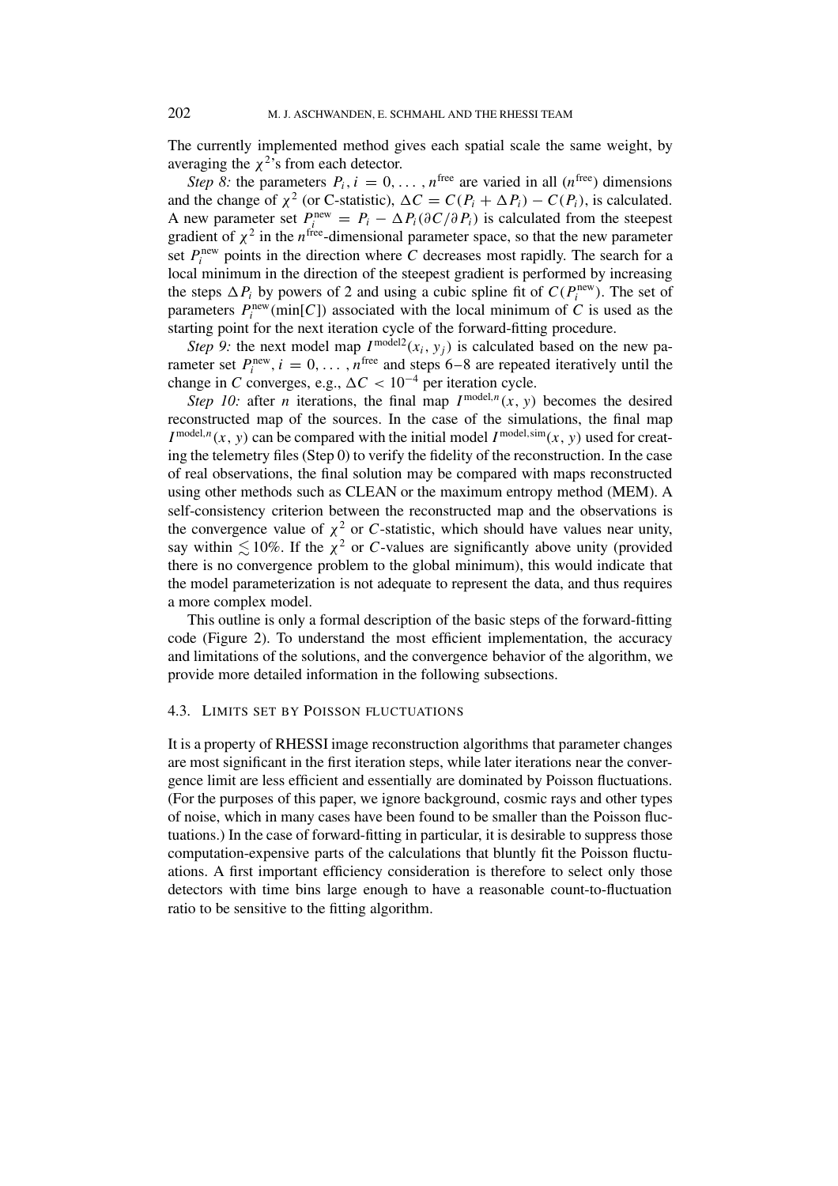The currently implemented method gives each spatial scale the same weight, by averaging the  $\chi^2$ 's from each detector.

*Step 8:* the parameters  $P_i$ ,  $i = 0, \ldots, n^{\text{free}}$  are varied in all  $(n^{\text{free}})$  dimensions and the change of  $\chi^2$  (or C-statistic),  $\Delta C = C(P_i + \Delta P_i) - C(P_i)$ , is calculated. A new parameter set  $P_i^{\text{new}} = P_i - \Delta P_i(\partial C/\partial P_i)$  is calculated from the steepest gradient of  $\chi^2$  in the *n*<sup>free</sup>-dimensional parameter space, so that the new parameter set  $P_i^{\text{new}}$  points in the direction where *C* decreases most rapidly. The search for a local minimum in the direction of the steepest gradient is performed by increasing the steps  $\Delta P_i$  by powers of 2 and using a cubic spline fit of  $C(P_i^{\text{new}})$ . The set of parameters  $P_i^{\text{new}}(\text{min}[C])$  associated with the local minimum of *C* is used as the starting point for the next iteration cycle of the forward-fitting procedure.

*Step 9:* the next model map  $I^{model2}(x_i, y_i)$  is calculated based on the new parameter set  $P_i^{\text{new}}, i = 0, \ldots, n^{\text{free}}$  and steps 6–8 are repeated iteratively until the change in *C* converges, e.g.,  $\Delta C < 10^{-4}$  per iteration cycle.

*Step 10:* after *n* iterations, the final map  $I^{model,n}(x, y)$  becomes the desired reconstructed map of the sources. In the case of the simulations, the final map  $I^{\text{model},n}(x, y)$  can be compared with the initial model  $I^{\text{model},\text{sim}}(x, y)$  used for creating the telemetry files (Step 0) to verify the fidelity of the reconstruction. In the case of real observations, the final solution may be compared with maps reconstructed using other methods such as CLEAN or the maximum entropy method (MEM). A self-consistency criterion between the reconstructed map and the observations is the convergence value of  $\chi^2$  or *C*-statistic, which should have values near unity, say within  $\leq 10\%$ . If the  $\chi^2$  or *C*-values are significantly above unity (provided there is no convergence problem to the global minimum), this would indicate that the model parameterization is not adequate to represent the data, and thus requires a more complex model.

This outline is only a formal description of the basic steps of the forward-fitting code (Figure 2). To understand the most efficient implementation, the accuracy and limitations of the solutions, and the convergence behavior of the algorithm, we provide more detailed information in the following subsections.

#### 4.3. LIMITS SET BY POISSON FLUCTUATIONS

It is a property of RHESSI image reconstruction algorithms that parameter changes are most significant in the first iteration steps, while later iterations near the convergence limit are less efficient and essentially are dominated by Poisson fluctuations. (For the purposes of this paper, we ignore background, cosmic rays and other types of noise, which in many cases have been found to be smaller than the Poisson fluctuations.) In the case of forward-fitting in particular, it is desirable to suppress those computation-expensive parts of the calculations that bluntly fit the Poisson fluctuations. A first important efficiency consideration is therefore to select only those detectors with time bins large enough to have a reasonable count-to-fluctuation ratio to be sensitive to the fitting algorithm.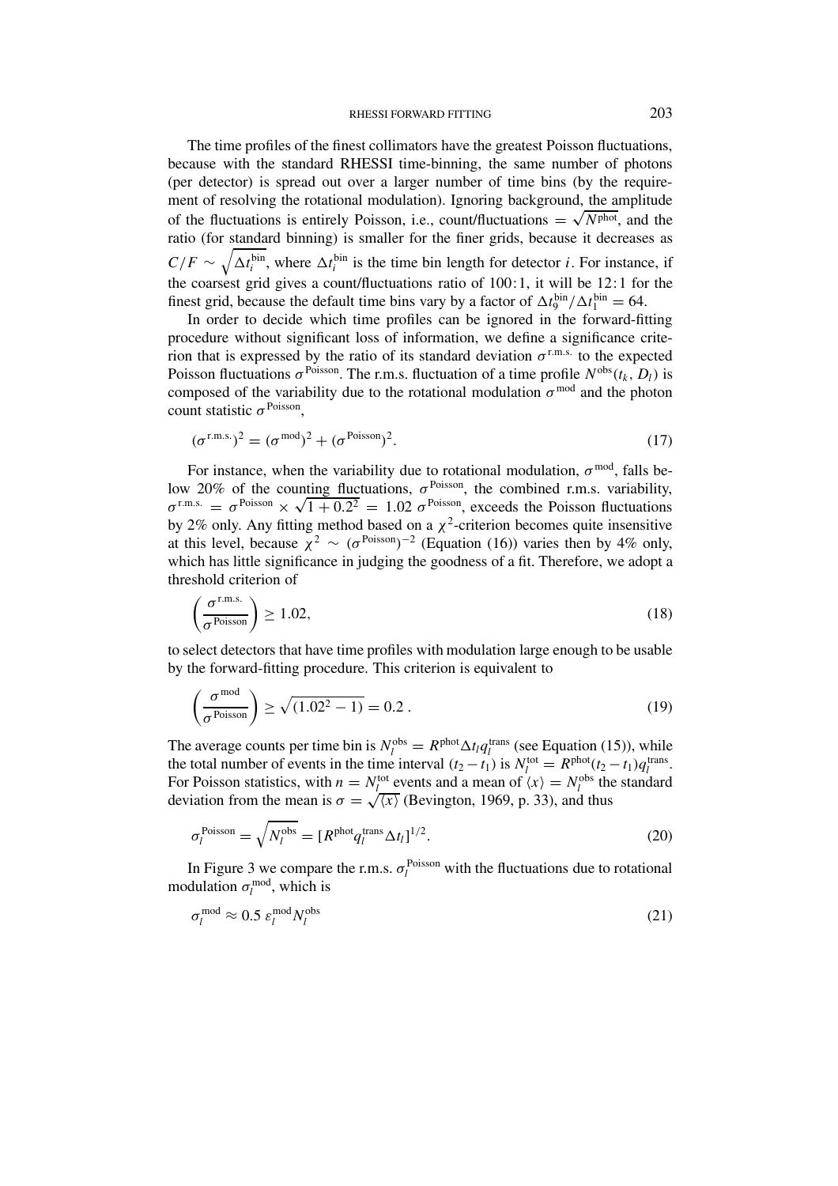The time profiles of the finest collimators have the greatest Poisson fluctuations, because with the standard RHESSI time-binning, the same number of photons (per detector) is spread out over a larger number of time bins (by the requirement of resolving the rotational modulation). Ignoring background, the amplitude of the fluctuations is entirely Poisson, i.e., count/fluctuations  $= \sqrt{N<sup>phot</sup>}$ , and the ratio (for standard binning) is smaller for the finer grids, because it decreases as  $C/F \sim \sqrt{\Delta t_i^{\text{bin}}}$ , where  $\Delta t_i^{\text{bin}}$  is the time bin length for detector *i*. For instance, if the coarsest grid gives a count/fluctuations ratio of 100:1, it will be 12:1 for the finest grid, because the default time bins vary by a factor of  $\Delta t_9^{\text{bin}}/\Delta t_1^{\text{bin}} = 64$ .

In order to decide which time profiles can be ignored in the forward-fitting procedure without significant loss of information, we define a significance criterion that is expressed by the ratio of its standard deviation  $\sigma^{r.m.s.}$  to the expected Poisson fluctuations  $\sigma$ <sup>Poisson</sup>. The r.m.s. fluctuation of a time profile  $N^{obs}(t_k, D_l)$  is composed of the variability due to the rotational modulation  $\sigma^{\text{mod}}$  and the photon count statistic *σ* Poisson,

$$
(\sigma^{\text{r.m.s.}})^2 = (\sigma^{\text{mod}})^2 + (\sigma^{\text{Poisson}})^2.
$$
 (17)

For instance, when the variability due to rotational modulation,  $\sigma^{\text{mod}}$ , falls below 20% of the counting fluctuations,  $\sigma^{\text{Poisson}}$ , the combined r.m.s. variability,  $\sigma^{\text{r.m.s.}} = \sigma^{\text{Poisson}} \times \sqrt{1 + 0.2^2} = 1.02 \sigma^{\text{Poisson}}$ , exceeds the Poisson fluctuations by 2% only. Any fitting method based on a  $\chi^2$ -criterion becomes quite insensitive at this level, because  $\chi^2 \sim (\sigma^{\text{Poisson}})^{-2}$  (Equation (16)) varies then by 4% only, which has little significance in judging the goodness of a fit. Therefore, we adopt a threshold criterion of

$$
\left(\frac{\sigma^{\text{r.m.s.}}}{\sigma^{\text{Poisson}}}\right) \ge 1.02,\tag{18}
$$

to select detectors that have time profiles with modulation large enough to be usable by the forward-fitting procedure. This criterion is equivalent to

$$
\left(\frac{\sigma^{\text{mod}}}{\sigma^{\text{Poisson}}}\right) \ge \sqrt{(1.02^2 - 1)} = 0.2 \ . \tag{19}
$$

The average counts per time bin is  $N_l^{obs} = R^{phot} \Delta t_l q_l^{trans}$  (see Equation (15)), while the total number of events in the time interval  $(t_2 - t_1)$  is  $N_l^{\text{tot}} = R^{\text{phot}}(t_2 - t_1)q_l^{\text{trans}}$ . For Poisson statistics, with  $n = N_l^{\text{tot}}$  events and a mean of  $\langle x \rangle = N_l^{\text{obs}}$  the standard deviation from the mean is  $\sigma = \sqrt{\langle x \rangle}$  (Bevington, 1969, p. 33), and thus

$$
\sigma_l^{\text{Poisson}} = \sqrt{N_l^{\text{obs}}} = [R^{\text{phot}} q_l^{\text{trans}} \Delta t_l]^{1/2}.
$$
\n(20)

In Figure 3 we compare the r.m.s.  $\sigma_l^{\text{Poisson}}$  with the fluctuations due to rotational modulation  $\sigma_l^{\text{mod}}$ , which is

$$
\sigma_l^{\text{mod}} \approx 0.5 \ \varepsilon_l^{\text{mod}} N_l^{\text{obs}} \tag{21}
$$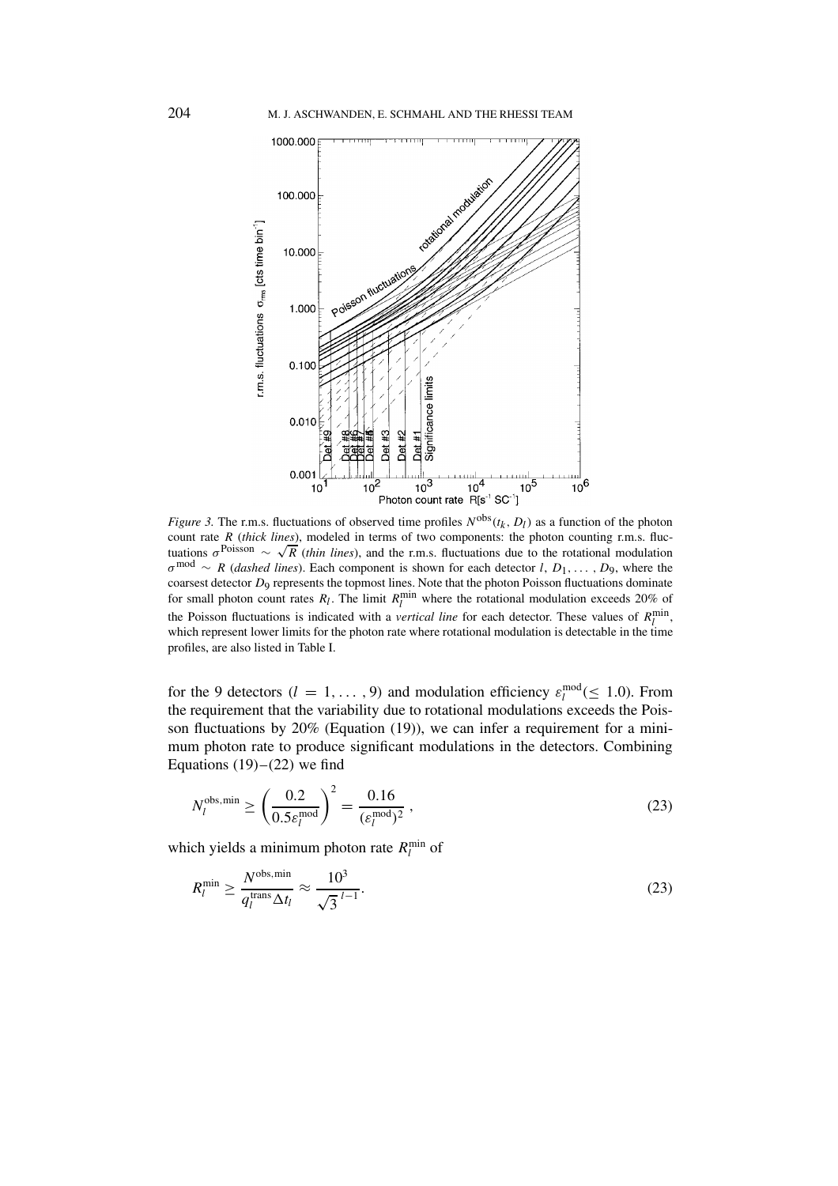

*Figure 3.* The r.m.s. fluctuations of observed time profiles  $N^{obs}(t_k, D_l)$  as a function of the photon count rate *R* (*thick lines*), modeled in terms of two components: the photon counting r.m.s. fluctuations  $\sigma^{\text{Poisson}} \sim \sqrt{R}$  (*thin lines*), and the r.m.s. fluctuations due to the rotational modulation *<sup>σ</sup>* mod <sup>∼</sup> *<sup>R</sup>* (*dashed lines*). Each component is shown for each detector *<sup>l</sup>*, *<sup>D</sup>*1*,... ,D*9, where the coarsest detector *D*<sub>9</sub> represents the topmost lines. Note that the photon Poisson fluctuations dominate for small photon count rates  $R_l$ . The limit  $R_l^{\text{min}}$  where the rotational modulation exceeds 20% of the Poisson fluctuations is indicated with a *vertical line* for each detector. These values of  $R_l^{\text{min}}$ , which represent lower limits for the photon rate where rotational modulation is detectable in the time profiles, are also listed in Table I.

for the 9 detectors  $(l = 1, ..., 9)$  and modulation efficiency  $\varepsilon_l^{\text{mod}} (\leq 1.0)$ . From the requirement that the variability due to rotational modulations exceeds the Poisson fluctuations by 20% (Equation (19)), we can infer a requirement for a minimum photon rate to produce significant modulations in the detectors. Combining Equations  $(19)$ – $(22)$  we find

$$
N_l^{\text{obs,min}} \ge \left(\frac{0.2}{0.5\varepsilon_l^{\text{mod}}}\right)^2 = \frac{0.16}{(\varepsilon_l^{\text{mod}})^2},\tag{23}
$$

which yields a minimum photon rate  $R_l^{\text{min}}$  of

$$
R_l^{\min} \ge \frac{N^{\text{obs,min}}}{q_l^{\text{trans}} \Delta t_l} \approx \frac{10^3}{\sqrt{3}^{l-1}}.
$$
\n(23)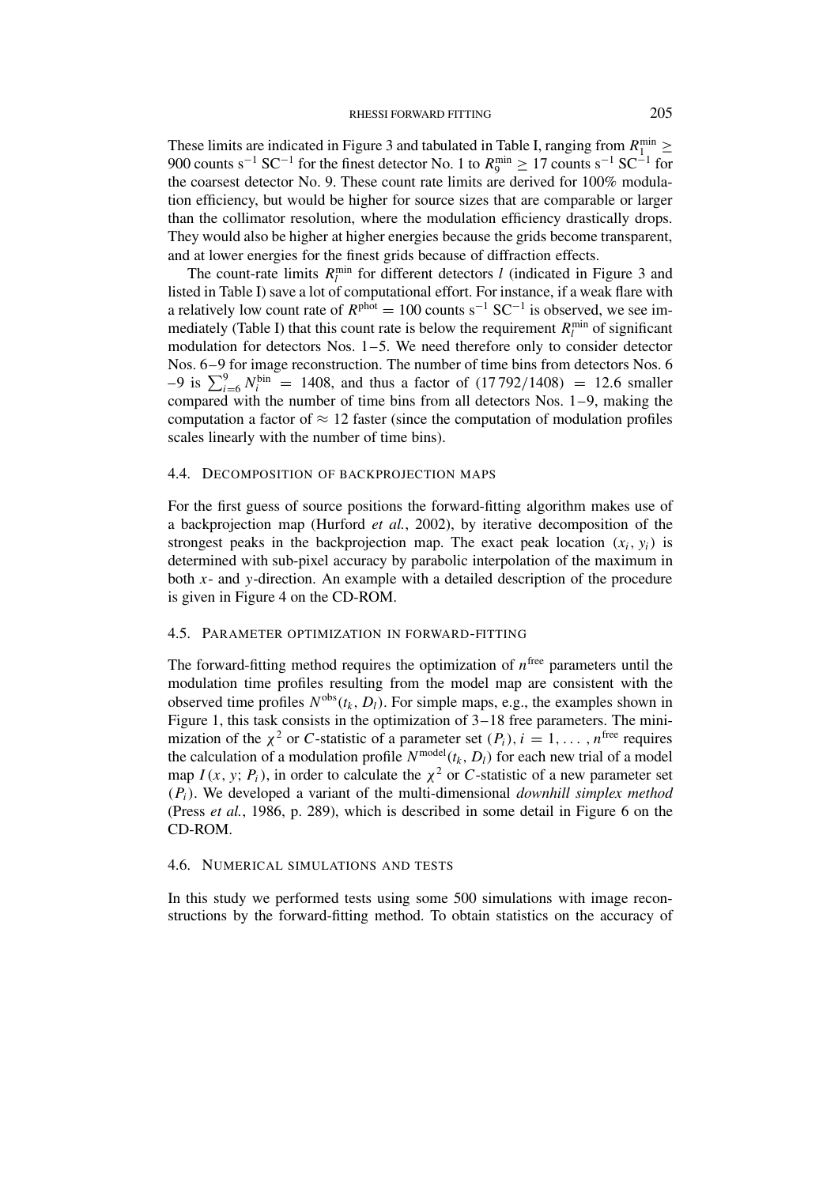These limits are indicated in Figure 3 and tabulated in Table I, ranging from  $R_1^{\text{min}} \geq$ 900 counts s<sup>-1</sup> SC<sup>-1</sup> for the finest detector No. 1 to  $R_9^{\text{min}} \ge 17$  counts s<sup>-1</sup> SC<sup>-1</sup> for the coarsest detector No. 9. These count rate limits are derived for 100% modulation efficiency, but would be higher for source sizes that are comparable or larger than the collimator resolution, where the modulation efficiency drastically drops. They would also be higher at higher energies because the grids become transparent, and at lower energies for the finest grids because of diffraction effects.

The count-rate limits  $R_l^{\text{min}}$  for different detectors *l* (indicated in Figure 3 and listed in Table I) save a lot of computational effort. For instance, if a weak flare with a relatively low count rate of  $R<sup>phot</sup> = 100$  counts s<sup>-1</sup> SC<sup>-1</sup> is observed, we see immediately (Table I) that this count rate is below the requirement  $R_l^{\text{min}}$  of significant modulation for detectors Nos. 1–5. We need therefore only to consider detector Nos. 6–9 for image reconstruction. The number of time bins from detectors Nos. 6  $-9$  is  $\sum_{i=6}^{9} N_i^{\text{bin}} = 1408$ , and thus a factor of  $(17792/1408) = 12.6$  smaller compared with the number of time bins from all detectors Nos. 1–9, making the computation a factor of  $\approx$  12 faster (since the computation of modulation profiles scales linearly with the number of time bins).

### 4.4. DECOMPOSITION OF BACKPROJECTION MAPS

For the first guess of source positions the forward-fitting algorithm makes use of a backprojection map (Hurford *et al.*, 2002), by iterative decomposition of the strongest peaks in the backprojection map. The exact peak location  $(x_i, y_i)$  is determined with sub-pixel accuracy by parabolic interpolation of the maximum in both *x*- and *y*-direction. An example with a detailed description of the procedure is given in Figure 4 on the CD-ROM.

### 4.5. PARAMETER OPTIMIZATION IN FORWARD-FITTING

The forward-fitting method requires the optimization of  $n^{\text{free}}$  parameters until the modulation time profiles resulting from the model map are consistent with the observed time profiles  $N^{obs}(t_k, D_l)$ . For simple maps, e.g., the examples shown in Figure 1, this task consists in the optimization of 3–18 free parameters. The minimization of the  $\chi^2$  or *C*-statistic of a parameter set  $(P_i)$ ,  $i = 1, \ldots, n^{\text{free}}$  requires the calculation of a modulation profile  $N^{\text{model}}(t_k, D_l)$  for each new trial of a model map  $I(x, y; P_i)$ , in order to calculate the  $\chi^2$  or *C*-statistic of a new parameter set *(Pi)*. We developed a variant of the multi-dimensional *downhill simplex method* (Press *et al.*, 1986, p. 289), which is described in some detail in Figure 6 on the CD-ROM.

#### 4.6. NUMERICAL SIMULATIONS AND TESTS

In this study we performed tests using some 500 simulations with image reconstructions by the forward-fitting method. To obtain statistics on the accuracy of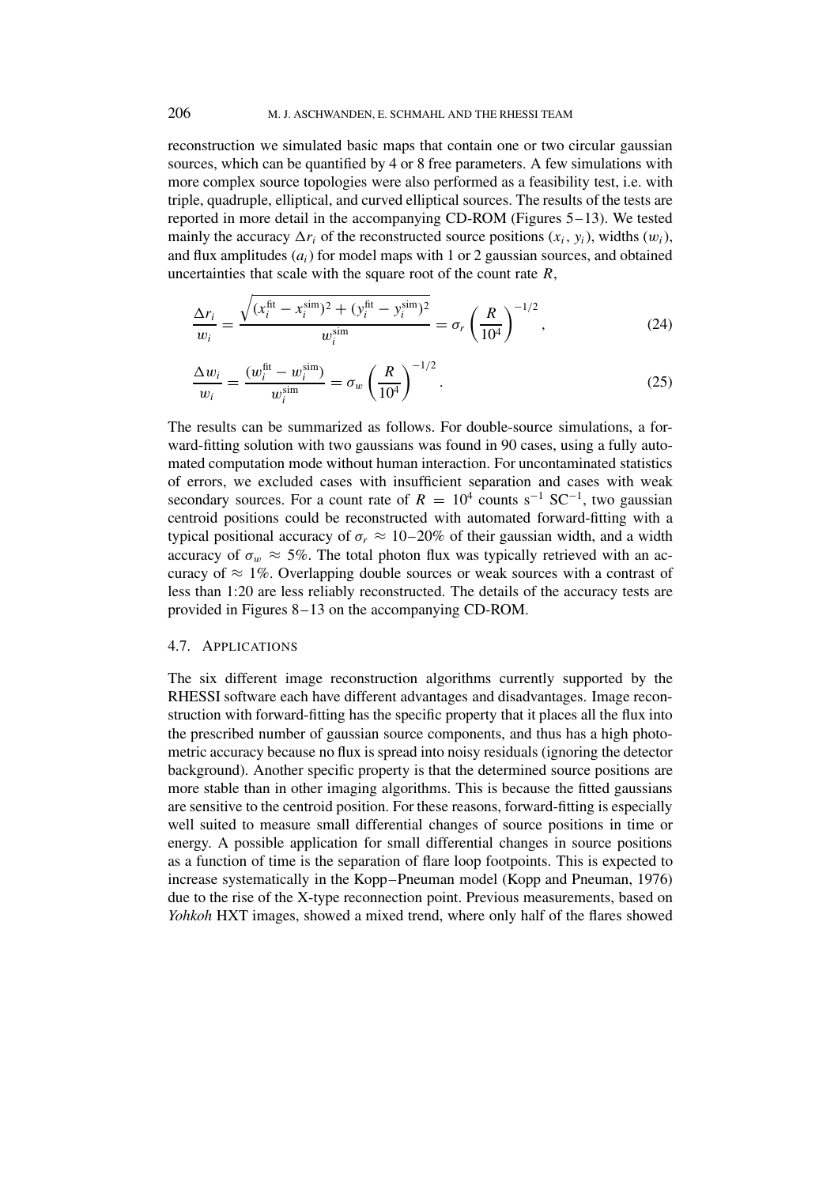reconstruction we simulated basic maps that contain one or two circular gaussian sources, which can be quantified by 4 or 8 free parameters. A few simulations with more complex source topologies were also performed as a feasibility test, i.e. with triple, quadruple, elliptical, and curved elliptical sources. The results of the tests are reported in more detail in the accompanying CD-ROM (Figures 5–13). We tested mainly the accuracy  $\Delta r_i$  of the reconstructed source positions  $(x_i, y_i)$ , widths  $(w_i)$ , and flux amplitudes (*ai*) for model maps with 1 or 2 gaussian sources, and obtained uncertainties that scale with the square root of the count rate *R*,

$$
\frac{\Delta r_i}{w_i} = \frac{\sqrt{(x_i^{\text{fit}} - x_i^{\text{sim}})^2 + (y_i^{\text{fit}} - y_i^{\text{sim}})^2}}{w_i^{\text{sim}}} = \sigma_r \left(\frac{R}{10^4}\right)^{-1/2},\tag{24}
$$

$$
\frac{\Delta w_i}{w_i} = \frac{(w_i^{\text{fit}} - w_i^{\text{sim}})}{w_i^{\text{sim}}} = \sigma_w \left(\frac{R}{10^4}\right)^{-1/2}.
$$
\n(25)

The results can be summarized as follows. For double-source simulations, a forward-fitting solution with two gaussians was found in 90 cases, using a fully automated computation mode without human interaction. For uncontaminated statistics of errors, we excluded cases with insufficient separation and cases with weak secondary sources. For a count rate of  $R = 10^4$  counts s<sup>-1</sup> SC<sup>-1</sup>, two gaussian centroid positions could be reconstructed with automated forward-fitting with a typical positional accuracy of  $\sigma_r \approx 10-20\%$  of their gaussian width, and a width accuracy of  $\sigma_w \approx 5\%$ . The total photon flux was typically retrieved with an accuracy of  $\approx 1\%$ . Overlapping double sources or weak sources with a contrast of less than 1:20 are less reliably reconstructed. The details of the accuracy tests are provided in Figures 8–13 on the accompanying CD-ROM.

### 4.7. APPLICATIONS

The six different image reconstruction algorithms currently supported by the RHESSI software each have different advantages and disadvantages. Image reconstruction with forward-fitting has the specific property that it places all the flux into the prescribed number of gaussian source components, and thus has a high photometric accuracy because no flux is spread into noisy residuals (ignoring the detector background). Another specific property is that the determined source positions are more stable than in other imaging algorithms. This is because the fitted gaussians are sensitive to the centroid position. For these reasons, forward-fitting is especially well suited to measure small differential changes of source positions in time or energy. A possible application for small differential changes in source positions as a function of time is the separation of flare loop footpoints. This is expected to increase systematically in the Kopp–Pneuman model (Kopp and Pneuman, 1976) due to the rise of the X-type reconnection point. Previous measurements, based on *Yohkoh* HXT images, showed a mixed trend, where only half of the flares showed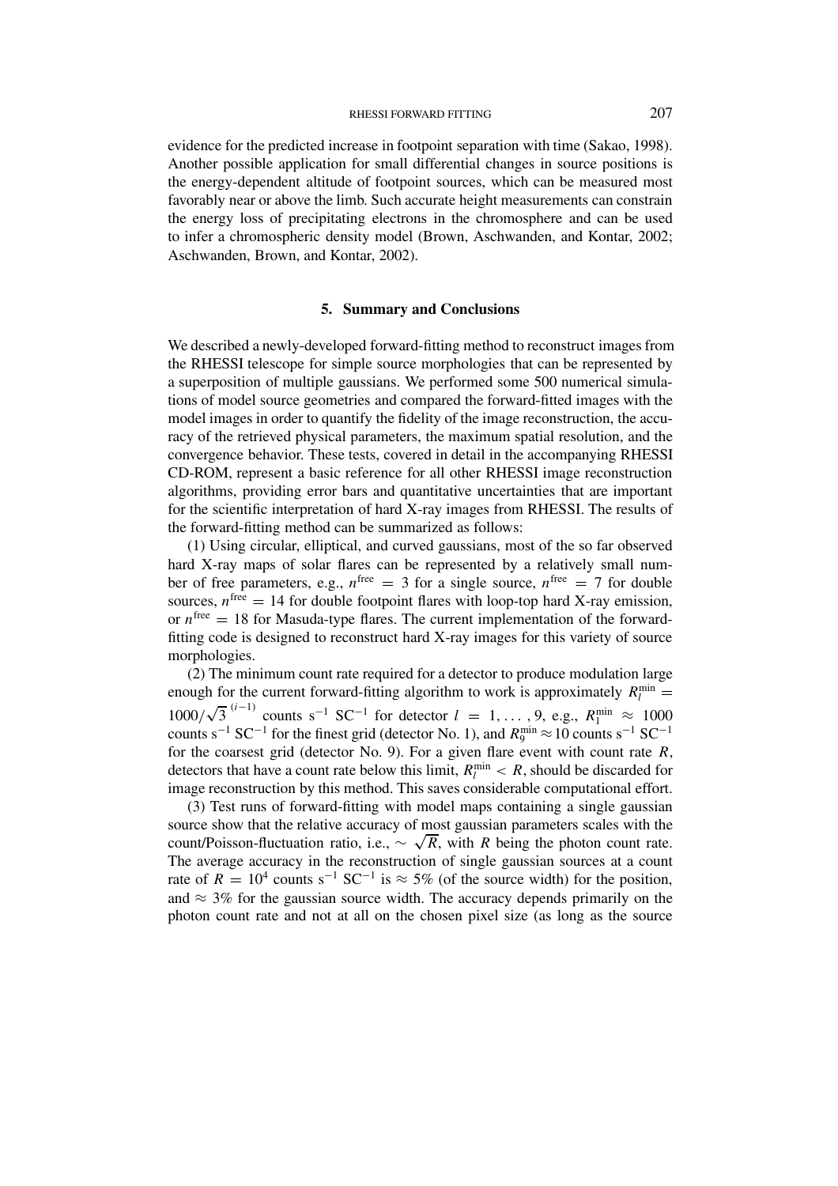evidence for the predicted increase in footpoint separation with time (Sakao, 1998). Another possible application for small differential changes in source positions is the energy-dependent altitude of footpoint sources, which can be measured most favorably near or above the limb. Such accurate height measurements can constrain the energy loss of precipitating electrons in the chromosphere and can be used to infer a chromospheric density model (Brown, Aschwanden, and Kontar, 2002; Aschwanden, Brown, and Kontar, 2002).

### **5. Summary and Conclusions**

We described a newly-developed forward-fitting method to reconstruct images from the RHESSI telescope for simple source morphologies that can be represented by a superposition of multiple gaussians. We performed some 500 numerical simulations of model source geometries and compared the forward-fitted images with the model images in order to quantify the fidelity of the image reconstruction, the accuracy of the retrieved physical parameters, the maximum spatial resolution, and the convergence behavior. These tests, covered in detail in the accompanying RHESSI CD-ROM, represent a basic reference for all other RHESSI image reconstruction algorithms, providing error bars and quantitative uncertainties that are important for the scientific interpretation of hard X-ray images from RHESSI. The results of the forward-fitting method can be summarized as follows:

(1) Using circular, elliptical, and curved gaussians, most of the so far observed hard X-ray maps of solar flares can be represented by a relatively small number of free parameters, e.g.,  $n^{\text{free}} = 3$  for a single source,  $n^{\text{free}} = 7$  for double sources,  $n^{\text{free}} = 14$  for double footpoint flares with loop-top hard X-ray emission, or  $n^{\text{free}} = 18$  for Masuda-type flares. The current implementation of the forwardfitting code is designed to reconstruct hard X-ray images for this variety of source morphologies.

(2) The minimum count rate required for a detector to produce modulation large enough for the current forward-fitting algorithm to work is approximately  $R_l^{\text{min}} =$  $1000/\sqrt{3}^{(i-1)}$  counts s<sup>-1</sup> SC<sup>-1</sup> for detector *l* = 1,..., 9, e.g.,  $R_1^{\min} \approx 1000$ counts s<sup>-1</sup> SC<sup>-1</sup> for the finest grid (detector No. 1), and  $R_9^{\text{min}} \approx 10 \text{ counts s}^{-1} \text{ SC}^{-1}$ for the coarsest grid (detector No. 9). For a given flare event with count rate *R*, detectors that have a count rate below this limit,  $R_l^{\text{min}} < R$ , should be discarded for image reconstruction by this method. This saves considerable computational effort.

(3) Test runs of forward-fitting with model maps containing a single gaussian source show that the relative accuracy of most gaussian parameters scales with the count/Poisson-fluctuation ratio, i.e.,  $\sim \sqrt{R}$ , with *R* being the photon count rate. The average accuracy in the reconstruction of single gaussian sources at a count rate of  $R = 10^4$  counts s<sup>-1</sup> SC<sup>-1</sup> is  $\approx$  5% (of the source width) for the position, and  $\approx$  3% for the gaussian source width. The accuracy depends primarily on the photon count rate and not at all on the chosen pixel size (as long as the source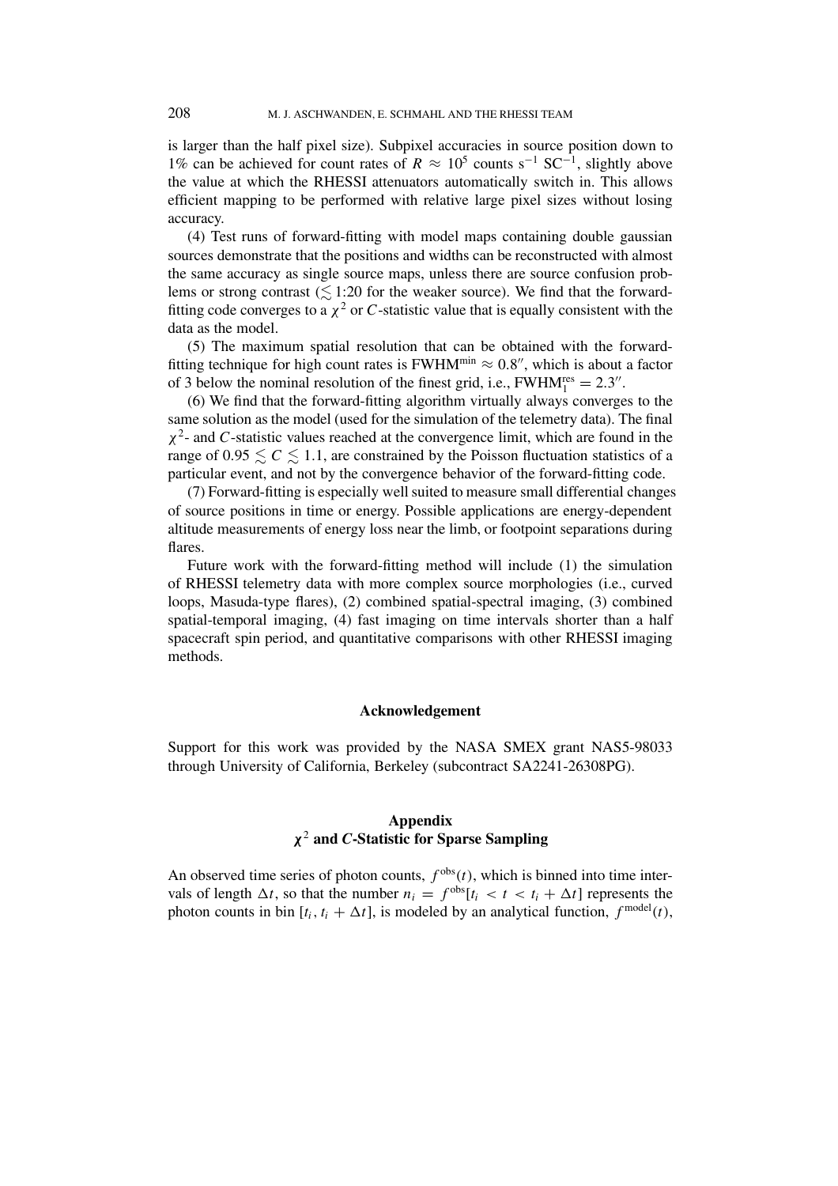is larger than the half pixel size). Subpixel accuracies in source position down to 1% can be achieved for count rates of  $R \approx 10^5$  counts s<sup>-1</sup> SC<sup>-1</sup>, slightly above the value at which the RHESSI attenuators automatically switch in. This allows efficient mapping to be performed with relative large pixel sizes without losing accuracy.

(4) Test runs of forward-fitting with model maps containing double gaussian sources demonstrate that the positions and widths can be reconstructed with almost the same accuracy as single source maps, unless there are source confusion problems or strong contrast  $(\leq 1:20$  for the weaker source). We find that the forwardfitting code converges to a  $\chi^2$  or *C*-statistic value that is equally consistent with the data as the model.

(5) The maximum spatial resolution that can be obtained with the forwardfitting technique for high count rates is FWHM<sup>min</sup>  $\approx 0.8$ ", which is about a factor of 3 below the nominal resolution of the finest grid, i.e.,  $FWHM_1^{res} = 2.3''$ .

(6) We find that the forward-fitting algorithm virtually always converges to the same solution as the model (used for the simulation of the telemetry data). The final *χ*2- and *C*-statistic values reached at the convergence limit, which are found in the range of  $0.95 \leq C \leq 1.1$ , are constrained by the Poisson fluctuation statistics of a particular event, and not by the convergence behavior of the forward-fitting code.

(7) Forward-fitting is especially well suited to measure small differential changes of source positions in time or energy. Possible applications are energy-dependent altitude measurements of energy loss near the limb, or footpoint separations during flares.

Future work with the forward-fitting method will include (1) the simulation of RHESSI telemetry data with more complex source morphologies (i.e., curved loops, Masuda-type flares), (2) combined spatial-spectral imaging, (3) combined spatial-temporal imaging, (4) fast imaging on time intervals shorter than a half spacecraft spin period, and quantitative comparisons with other RHESSI imaging methods.

#### **Acknowledgement**

Support for this work was provided by the NASA SMEX grant NAS5-98033 through University of California, Berkeley (subcontract SA2241-26308PG).

# **Appendix** *χ*<sup>2</sup> **and** *C***-Statistic for Sparse Sampling**

An observed time series of photon counts,  $f<sup>obs</sup>(t)$ , which is binned into time intervals of length  $\Delta t$ , so that the number  $n_i = f^{\text{obs}}[t_i < t < t_i + \Delta t]$  represents the photon counts in bin  $[t_i, t_i + \Delta t]$ , is modeled by an analytical function,  $f^{\text{model}}(t)$ ,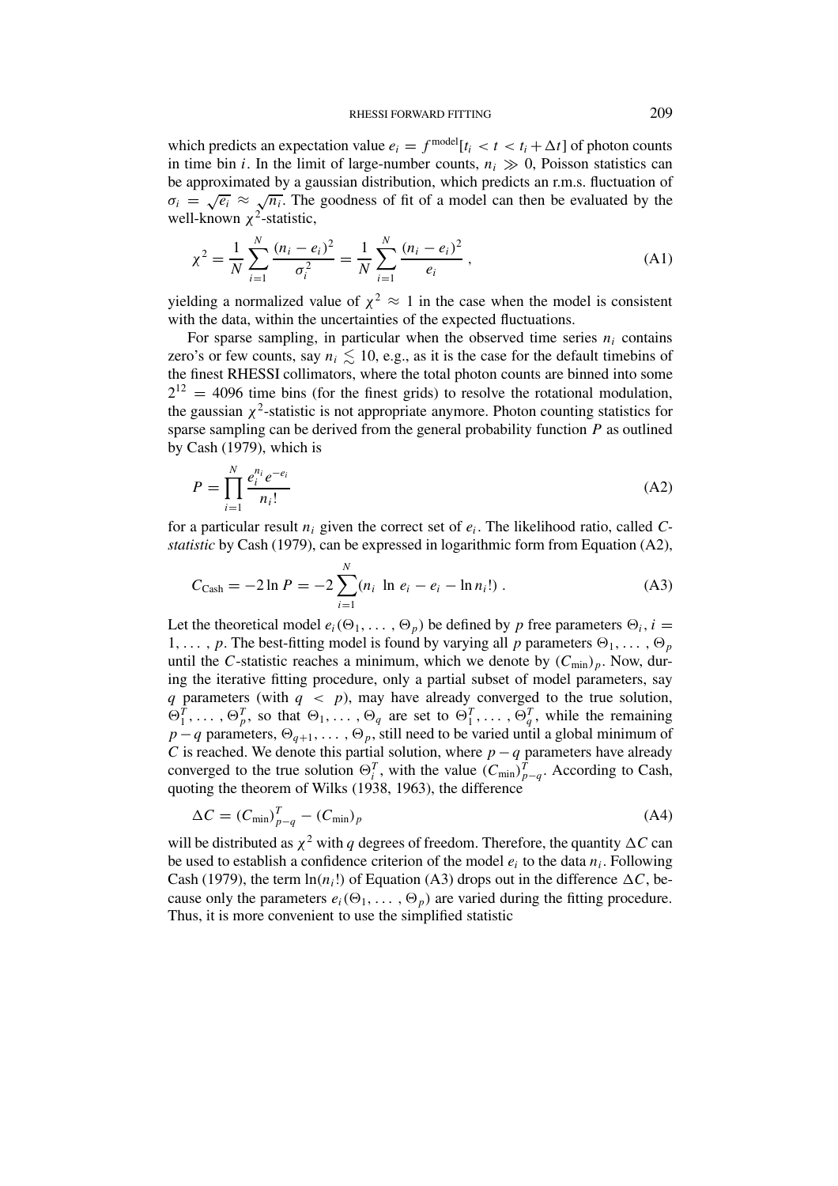which predicts an expectation value  $e_i = f^{\text{model}}[t_i < t < t_i + \Delta t]$  of photon counts in time bin *i*. In the limit of large-number counts,  $n_i \gg 0$ , Poisson statistics can be approximated by a gaussian distribution, which predicts an r.m.s. fluctuation of  $\sigma_i = \sqrt{e_i} \approx \sqrt{n_i}$ . The goodness of fit of a model can then be evaluated by the well-known *χ*<sup>2</sup>-statistic,

$$
\chi^2 = \frac{1}{N} \sum_{i=1}^{N} \frac{(n_i - e_i)^2}{\sigma_i^2} = \frac{1}{N} \sum_{i=1}^{N} \frac{(n_i - e_i)^2}{e_i},
$$
 (A1)

yielding a normalized value of  $\chi^2 \approx 1$  in the case when the model is consistent with the data, within the uncertainties of the expected fluctuations.

For sparse sampling, in particular when the observed time series  $n_i$  contains zero's or few counts, say  $n_i \lesssim 10$ , e.g., as it is the case for the default timebins of the finest RHESSI collimators, where the total photon counts are binned into some  $2^{12}$  = 4096 time bins (for the finest grids) to resolve the rotational modulation, the gaussian  $\chi^2$ -statistic is not appropriate anymore. Photon counting statistics for sparse sampling can be derived from the general probability function *P* as outlined by Cash (1979), which is

$$
P = \prod_{i=1}^{N} \frac{e_i^{n_i} e^{-e_i}}{n_i!}
$$
 (A2)

for a particular result *ni* given the correct set of *ei*. The likelihood ratio, called *Cstatistic* by Cash (1979), can be expressed in logarithmic form from Equation (A2),

$$
C_{\text{Cash}} = -2 \ln P = -2 \sum_{i=1}^{N} (n_i \ln e_i - e_i - \ln n_i!). \tag{A3}
$$

Let the theoretical model  $e_i(\Theta_1, \ldots, \Theta_p)$  be defined by *p* free parameters  $\Theta_i$ , *i* = 1,..., p. The best-fitting model is found by varying all p parameters  $\Theta_1, \ldots, \Theta_p$ until the *C*-statistic reaches a minimum, which we denote by  $(C_{\min})_p$ . Now, during the iterative fitting procedure, only a partial subset of model parameters, say *q* parameters (with  $q < p$ ), may have already converged to the true solution,  $\Theta_1^T, \ldots, \Theta_p^T$ , so that  $\Theta_1, \ldots, \Theta_q$  are set to  $\Theta_1^T, \ldots, \Theta_q^T$ , while the remaining *p* −*q* parameters,  $\Theta_{q+1}, \ldots, \Theta_p$ , still need to be varied until a global minimum of *C* is reached. We denote this partial solution, where  $p - q$  parameters have already converged to the true solution  $\Theta_i^T$ , with the value  $(C_{\min})_{p-q}^T$ . According to Cash, quoting the theorem of Wilks (1938, 1963), the difference

$$
\Delta C = (C_{\min})_{p-q}^T - (C_{\min})_p \tag{A4}
$$

will be distributed as  $\chi^2$  with *q* degrees of freedom. Therefore, the quantity  $\Delta C$  can be used to establish a confidence criterion of the model *ei* to the data *ni*. Following Cash (1979), the term  $\ln(n_i!)$  of Equation (A3) drops out in the difference  $\Delta C$ , because only the parameters  $e_i(\Theta_1, \ldots, \Theta_p)$  are varied during the fitting procedure. Thus, it is more convenient to use the simplified statistic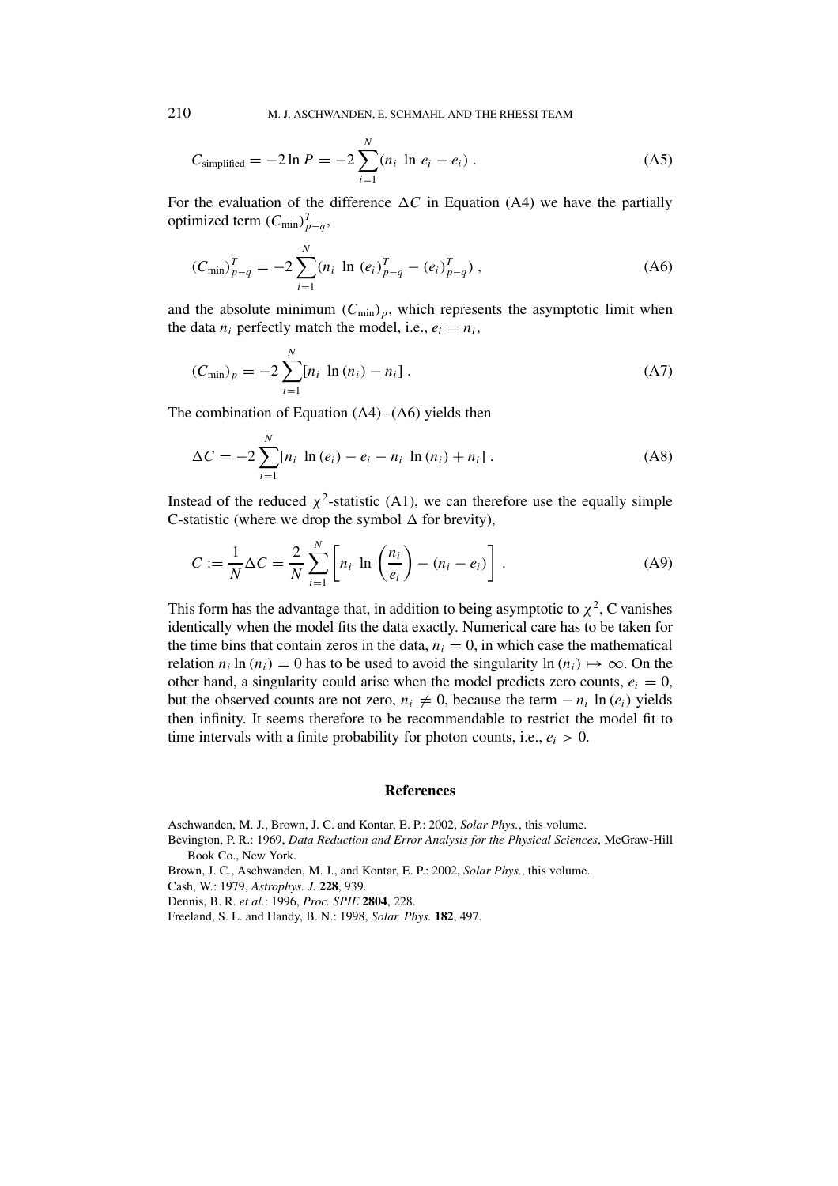210 M. J. ASCHWANDEN, E. SCHMAHL AND THE RHESSI TEAM

$$
C_{\text{simplified}} = -2 \ln P = -2 \sum_{i=1}^{N} (n_i \ln e_i - e_i) \,. \tag{A5}
$$

For the evaluation of the difference  $\Delta C$  in Equation (A4) we have the partially optimized term  $(C_{\min})_{p-q}^T$ ,

$$
(C_{\min})_{p-q}^T = -2 \sum_{i=1}^N (n_i \ln (e_i)_{p-q}^T - (e_i)_{p-q}^T), \qquad (A6)
$$

and the absolute minimum  $(C_{\min})_p$ , which represents the asymptotic limit when the data  $n_i$  perfectly match the model, i.e.,  $e_i = n_i$ ,

$$
(C_{\min})_p = -2 \sum_{i=1}^N [n_i \ln (n_i) - n_i]. \tag{A7}
$$

The combination of Equation  $(A4)$ – $(A6)$  yields then

$$
\Delta C = -2 \sum_{i=1}^{N} [n_i \ln (e_i) - e_i - n_i \ln (n_i) + n_i].
$$
 (A8)

Instead of the reduced  $\chi^2$ -statistic (A1), we can therefore use the equally simple C-statistic (where we drop the symbol  $\Delta$  for brevity),

$$
C := \frac{1}{N} \Delta C = \frac{2}{N} \sum_{i=1}^{N} \left[ n_i \ln \left( \frac{n_i}{e_i} \right) - (n_i - e_i) \right].
$$
 (A9)

This form has the advantage that, in addition to being asymptotic to  $\chi^2$ , C vanishes identically when the model fits the data exactly. Numerical care has to be taken for the time bins that contain zeros in the data,  $n_i = 0$ , in which case the mathematical relation  $n_i \ln(n_i) = 0$  has to be used to avoid the singularity  $\ln(n_i) \mapsto \infty$ . On the other hand, a singularity could arise when the model predicts zero counts,  $e_i = 0$ , but the observed counts are not zero,  $n_i \neq 0$ , because the term  $-n_i \ln(e_i)$  yields then infinity. It seems therefore to be recommendable to restrict the model fit to time intervals with a finite probability for photon counts, i.e.,  $e_i > 0$ .

#### **References**

Aschwanden, M. J., Brown, J. C. and Kontar, E. P.: 2002, *Solar Phys.*, this volume.

- Bevington, P. R.: 1969, *Data Reduction and Error Analysis for the Physical Sciences*, McGraw-Hill Book Co., New York.
- Brown, J. C., Aschwanden, M. J., and Kontar, E. P.: 2002, *Solar Phys.*, this volume.

Cash, W.: 1979, *Astrophys. J.* **228**, 939.

Dennis, B. R. *et al.*: 1996, *Proc. SPIE* **2804**, 228.

Freeland, S. L. and Handy, B. N.: 1998, *Solar. Phys.* **182**, 497.